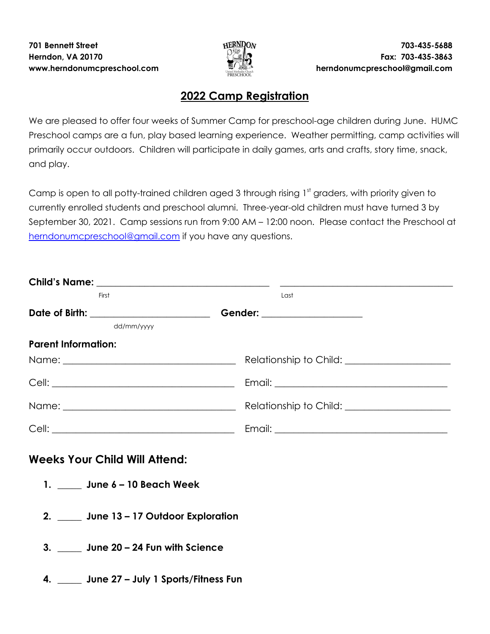

## **2022 Camp Registration**

We are pleased to offer four weeks of Summer Camp for preschool-age children during June. HUMC Preschool camps are a fun, play based learning experience. Weather permitting, camp activities will primarily occur outdoors. Children will participate in daily games, arts and crafts, story time, snack, and play.

Camp is open to all potty-trained children aged 3 through rising  $1^\mathrm{st}$  graders, with priority given to currently enrolled students and preschool alumni. Three-year-old children must have turned 3 by September 30, 2021. Camp sessions run from 9:00 AM – 12:00 noon. Please contact the Preschool at [herndonumcpreschool@gmail.com](mailto:herndonumcpreschool@gmail.com) if you have any questions.

| First                                     | Last |
|-------------------------------------------|------|
|                                           |      |
| dd/mm/yyyy                                |      |
| <b>Parent Information:</b>                |      |
|                                           |      |
|                                           |      |
|                                           |      |
|                                           |      |
| <b>Weeks Your Child Will Attend:</b>      |      |
| 1. June 6 – 10 Beach Week                 |      |
| 2. _____ June 13 - 17 Outdoor Exploration |      |
| 3. June 20 – 24 Fun with Science          |      |
|                                           |      |